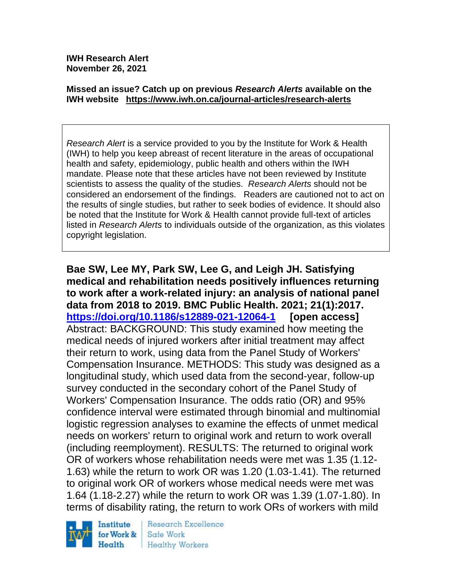**IWH Research Alert November 26, 2021**

#### **Missed an issue? Catch up on previous** *Research Alerts* **available on the [IWH website](http://www.iwh.on.ca/research-alerts) <https://www.iwh.on.ca/journal-articles/research-alerts>**

*Research Alert* is a service provided to you by the Institute for Work & Health (IWH) to help you keep abreast of recent literature in the areas of occupational health and safety, epidemiology, public health and others within the IWH mandate. Please note that these articles have not been reviewed by Institute scientists to assess the quality of the studies. *Research Alerts* should not be considered an endorsement of the findings. Readers are cautioned not to act on the results of single studies, but rather to seek bodies of evidence. It should also be noted that the Institute for Work & Health cannot provide full-text of articles listed in *Research Alerts* to individuals outside of the organization, as this violates copyright legislation.

**Bae SW, Lee MY, Park SW, Lee G, and Leigh JH. Satisfying medical and rehabilitation needs positively influences returning to work after a work-related injury: an analysis of national panel data from 2018 to 2019. BMC Public Health. 2021; 21(1):2017. <https://doi.org/10.1186/s12889-021-12064-1> [open access]** Abstract: BACKGROUND: This study examined how meeting the medical needs of injured workers after initial treatment may affect their return to work, using data from the Panel Study of Workers' Compensation Insurance. METHODS: This study was designed as a longitudinal study, which used data from the second-year, follow-up survey conducted in the secondary cohort of the Panel Study of Workers' Compensation Insurance. The odds ratio (OR) and 95% confidence interval were estimated through binomial and multinomial logistic regression analyses to examine the effects of unmet medical needs on workers' return to original work and return to work overall (including reemployment). RESULTS: The returned to original work OR of workers whose rehabilitation needs were met was 1.35 (1.12- 1.63) while the return to work OR was 1.20 (1.03-1.41). The returned to original work OR of workers whose medical needs were met was 1.64 (1.18-2.27) while the return to work OR was 1.39 (1.07-1.80). In terms of disability rating, the return to work ORs of workers with mild



Research Excellence Safe Work Healthy Workers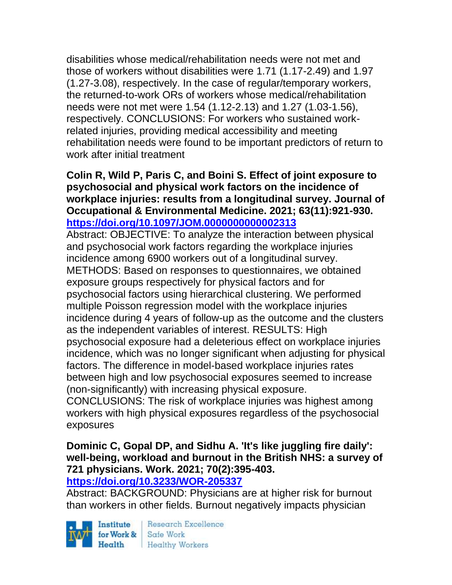disabilities whose medical/rehabilitation needs were not met and those of workers without disabilities were 1.71 (1.17-2.49) and 1.97 (1.27-3.08), respectively. In the case of regular/temporary workers, the returned-to-work ORs of workers whose medical/rehabilitation needs were not met were 1.54 (1.12-2.13) and 1.27 (1.03-1.56), respectively. CONCLUSIONS: For workers who sustained workrelated injuries, providing medical accessibility and meeting rehabilitation needs were found to be important predictors of return to work after initial treatment

### **Colin R, Wild P, Paris C, and Boini S. Effect of joint exposure to psychosocial and physical work factors on the incidence of workplace injuries: results from a longitudinal survey. Journal of Occupational & Environmental Medicine. 2021; 63(11):921-930. <https://doi.org/10.1097/JOM.0000000000002313>**

Abstract: OBJECTIVE: To analyze the interaction between physical and psychosocial work factors regarding the workplace injuries incidence among 6900 workers out of a longitudinal survey. METHODS: Based on responses to questionnaires, we obtained exposure groups respectively for physical factors and for psychosocial factors using hierarchical clustering. We performed multiple Poisson regression model with the workplace injuries incidence during 4 years of follow-up as the outcome and the clusters as the independent variables of interest. RESULTS: High psychosocial exposure had a deleterious effect on workplace injuries incidence, which was no longer significant when adjusting for physical factors. The difference in model-based workplace injuries rates between high and low psychosocial exposures seemed to increase (non-significantly) with increasing physical exposure.

CONCLUSIONS: The risk of workplace injuries was highest among workers with high physical exposures regardless of the psychosocial exposures

# **Dominic C, Gopal DP, and Sidhu A. 'It's like juggling fire daily': well-being, workload and burnout in the British NHS: a survey of 721 physicians. Work. 2021; 70(2):395-403.**

### **<https://doi.org/10.3233/WOR-205337>**

Abstract: BACKGROUND: Physicians are at higher risk for burnout than workers in other fields. Burnout negatively impacts physician

Institute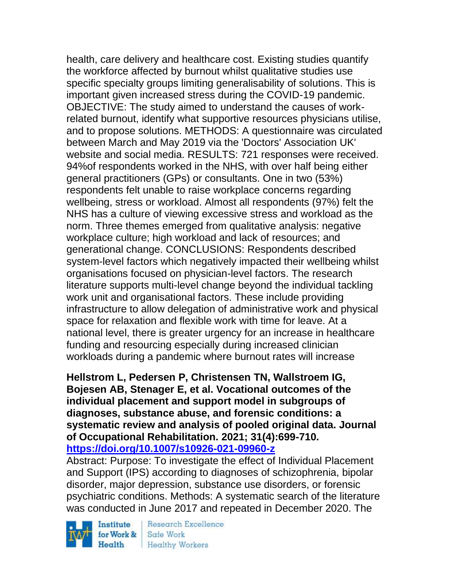health, care delivery and healthcare cost. Existing studies quantify the workforce affected by burnout whilst qualitative studies use specific specialty groups limiting generalisability of solutions. This is important given increased stress during the COVID-19 pandemic. OBJECTIVE: The study aimed to understand the causes of workrelated burnout, identify what supportive resources physicians utilise, and to propose solutions. METHODS: A questionnaire was circulated between March and May 2019 via the 'Doctors' Association UK' website and social media. RESULTS: 721 responses were received. 94%of respondents worked in the NHS, with over half being either general practitioners (GPs) or consultants. One in two (53%) respondents felt unable to raise workplace concerns regarding wellbeing, stress or workload. Almost all respondents (97%) felt the NHS has a culture of viewing excessive stress and workload as the norm. Three themes emerged from qualitative analysis: negative workplace culture; high workload and lack of resources; and generational change. CONCLUSIONS: Respondents described system-level factors which negatively impacted their wellbeing whilst organisations focused on physician-level factors. The research literature supports multi-level change beyond the individual tackling work unit and organisational factors. These include providing infrastructure to allow delegation of administrative work and physical space for relaxation and flexible work with time for leave. At a national level, there is greater urgency for an increase in healthcare funding and resourcing especially during increased clinician workloads during a pandemic where burnout rates will increase

### **Hellstrom L, Pedersen P, Christensen TN, Wallstroem IG, Bojesen AB, Stenager E, et al. Vocational outcomes of the individual placement and support model in subgroups of diagnoses, substance abuse, and forensic conditions: a systematic review and analysis of pooled original data. Journal of Occupational Rehabilitation. 2021; 31(4):699-710. <https://doi.org/10.1007/s10926-021-09960-z>**

Abstract: Purpose: To investigate the effect of Individual Placement and Support (IPS) according to diagnoses of schizophrenia, bipolar disorder, major depression, substance use disorders, or forensic psychiatric conditions. Methods: A systematic search of the literature was conducted in June 2017 and repeated in December 2020. The

Institute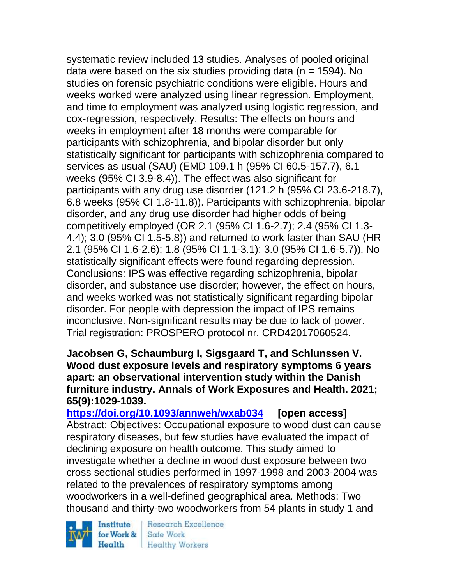systematic review included 13 studies. Analyses of pooled original data were based on the six studies providing data ( $n = 1594$ ). No studies on forensic psychiatric conditions were eligible. Hours and weeks worked were analyzed using linear regression. Employment, and time to employment was analyzed using logistic regression, and cox-regression, respectively. Results: The effects on hours and weeks in employment after 18 months were comparable for participants with schizophrenia, and bipolar disorder but only statistically significant for participants with schizophrenia compared to services as usual (SAU) (EMD 109.1 h (95% CI 60.5-157.7), 6.1 weeks (95% CI 3.9-8.4)). The effect was also significant for participants with any drug use disorder (121.2 h (95% CI 23.6-218.7), 6.8 weeks (95% CI 1.8-11.8)). Participants with schizophrenia, bipolar disorder, and any drug use disorder had higher odds of being competitively employed (OR 2.1 (95% CI 1.6-2.7); 2.4 (95% CI 1.3- 4.4); 3.0 (95% CI 1.5-5.8)) and returned to work faster than SAU (HR 2.1 (95% CI 1.6-2.6); 1.8 (95% CI 1.1-3.1); 3.0 (95% CI 1.6-5.7)). No statistically significant effects were found regarding depression. Conclusions: IPS was effective regarding schizophrenia, bipolar disorder, and substance use disorder; however, the effect on hours, and weeks worked was not statistically significant regarding bipolar disorder. For people with depression the impact of IPS remains inconclusive. Non-significant results may be due to lack of power. Trial registration: PROSPERO protocol nr. CRD42017060524.

**Jacobsen G, Schaumburg I, Sigsgaard T, and Schlunssen V. Wood dust exposure levels and respiratory symptoms 6 years apart: an observational intervention study within the Danish furniture industry. Annals of Work Exposures and Health. 2021; 65(9):1029-1039.** 

**<https://doi.org/10.1093/annweh/wxab034> [open access]** Abstract: Objectives: Occupational exposure to wood dust can cause respiratory diseases, but few studies have evaluated the impact of declining exposure on health outcome. This study aimed to investigate whether a decline in wood dust exposure between two cross sectional studies performed in 1997-1998 and 2003-2004 was related to the prevalences of respiratory symptoms among woodworkers in a well-defined geographical area. Methods: Two thousand and thirty-two woodworkers from 54 plants in study 1 and

Institute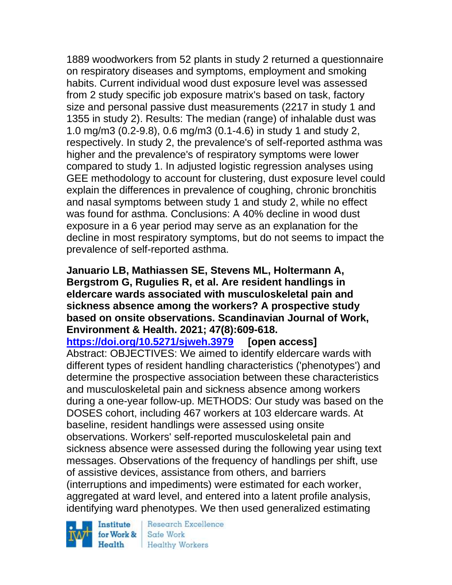1889 woodworkers from 52 plants in study 2 returned a questionnaire on respiratory diseases and symptoms, employment and smoking habits. Current individual wood dust exposure level was assessed from 2 study specific job exposure matrix's based on task, factory size and personal passive dust measurements (2217 in study 1 and 1355 in study 2). Results: The median (range) of inhalable dust was 1.0 mg/m3 (0.2-9.8), 0.6 mg/m3 (0.1-4.6) in study 1 and study 2, respectively. In study 2, the prevalence's of self-reported asthma was higher and the prevalence's of respiratory symptoms were lower compared to study 1. In adjusted logistic regression analyses using GEE methodology to account for clustering, dust exposure level could explain the differences in prevalence of coughing, chronic bronchitis and nasal symptoms between study 1 and study 2, while no effect was found for asthma. Conclusions: A 40% decline in wood dust exposure in a 6 year period may serve as an explanation for the decline in most respiratory symptoms, but do not seems to impact the prevalence of self-reported asthma.

### **Januario LB, Mathiassen SE, Stevens ML, Holtermann A, Bergstrom G, Rugulies R, et al. Are resident handlings in eldercare wards associated with musculoskeletal pain and sickness absence among the workers? A prospective study based on onsite observations. Scandinavian Journal of Work, Environment & Health. 2021; 47(8):609-618.**

**<https://doi.org/10.5271/sjweh.3979> [open access]**

Abstract: OBJECTIVES: We aimed to identify eldercare wards with different types of resident handling characteristics ('phenotypes') and determine the prospective association between these characteristics and musculoskeletal pain and sickness absence among workers during a one-year follow-up. METHODS: Our study was based on the DOSES cohort, including 467 workers at 103 eldercare wards. At baseline, resident handlings were assessed using onsite observations. Workers' self-reported musculoskeletal pain and sickness absence were assessed during the following year using text messages. Observations of the frequency of handlings per shift, use of assistive devices, assistance from others, and barriers (interruptions and impediments) were estimated for each worker, aggregated at ward level, and entered into a latent profile analysis, identifying ward phenotypes. We then used generalized estimating

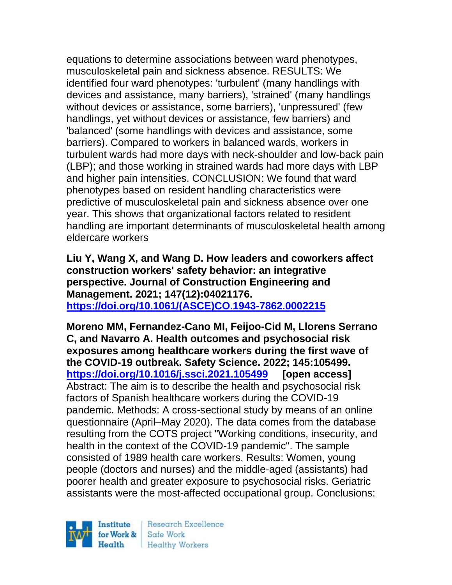equations to determine associations between ward phenotypes, musculoskeletal pain and sickness absence. RESULTS: We identified four ward phenotypes: 'turbulent' (many handlings with devices and assistance, many barriers), 'strained' (many handlings without devices or assistance, some barriers), 'unpressured' (few handlings, yet without devices or assistance, few barriers) and 'balanced' (some handlings with devices and assistance, some barriers). Compared to workers in balanced wards, workers in turbulent wards had more days with neck-shoulder and low-back pain (LBP); and those working in strained wards had more days with LBP and higher pain intensities. CONCLUSION: We found that ward phenotypes based on resident handling characteristics were predictive of musculoskeletal pain and sickness absence over one year. This shows that organizational factors related to resident handling are important determinants of musculoskeletal health among eldercare workers

**Liu Y, Wang X, and Wang D. How leaders and coworkers affect construction workers' safety behavior: an integrative perspective. Journal of Construction Engineering and Management. 2021; 147(12):04021176. [https://doi.org/10.1061/\(ASCE\)CO.1943-7862.0002215](https://doi.org/10.1061/(ASCE)CO.1943-7862.0002215)** 

**Moreno MM, Fernandez-Cano MI, Feijoo-Cid M, Llorens Serrano C, and Navarro A. Health outcomes and psychosocial risk exposures among healthcare workers during the first wave of the COVID-19 outbreak. Safety Science. 2022; 145:105499. <https://doi.org/10.1016/j.ssci.2021.105499> [open access]** Abstract: The aim is to describe the health and psychosocial risk factors of Spanish healthcare workers during the COVID-19 pandemic. Methods: A cross-sectional study by means of an online questionnaire (April–May 2020). The data comes from the database resulting from the COTS project "Working conditions, insecurity, and health in the context of the COVID-19 pandemic". The sample consisted of 1989 health care workers. Results: Women, young people (doctors and nurses) and the middle-aged (assistants) had poorer health and greater exposure to psychosocial risks. Geriatric assistants were the most-affected occupational group. Conclusions:

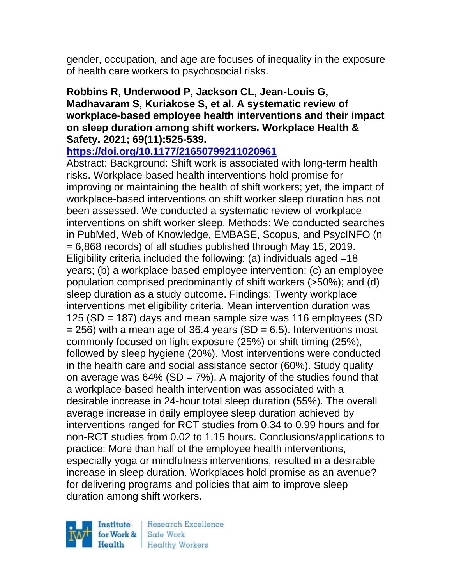gender, occupation, and age are focuses of inequality in the exposure of health care workers to psychosocial risks.

### **Robbins R, Underwood P, Jackson CL, Jean-Louis G, Madhavaram S, Kuriakose S, et al. A systematic review of workplace-based employee health interventions and their impact on sleep duration among shift workers. Workplace Health & Safety. 2021; 69(11):525-539.**

**<https://doi.org/10.1177/21650799211020961>** 

Abstract: Background: Shift work is associated with long-term health risks. Workplace-based health interventions hold promise for improving or maintaining the health of shift workers; yet, the impact of workplace-based interventions on shift worker sleep duration has not been assessed. We conducted a systematic review of workplace interventions on shift worker sleep. Methods: We conducted searches in PubMed, Web of Knowledge, EMBASE, Scopus, and PsycINFO (n = 6,868 records) of all studies published through May 15, 2019. Eligibility criteria included the following: (a) individuals aged =18 years; (b) a workplace-based employee intervention; (c) an employee population comprised predominantly of shift workers (>50%); and (d) sleep duration as a study outcome. Findings: Twenty workplace interventions met eligibility criteria. Mean intervention duration was 125 (SD = 187) days and mean sample size was 116 employees (SD  $= 256$ ) with a mean age of 36.4 years (SD  $= 6.5$ ). Interventions most commonly focused on light exposure (25%) or shift timing (25%), followed by sleep hygiene (20%). Most interventions were conducted in the health care and social assistance sector (60%). Study quality on average was  $64\%$  (SD =  $7\%$ ). A majority of the studies found that a workplace-based health intervention was associated with a desirable increase in 24-hour total sleep duration (55%). The overall average increase in daily employee sleep duration achieved by interventions ranged for RCT studies from 0.34 to 0.99 hours and for non-RCT studies from 0.02 to 1.15 hours. Conclusions/applications to practice: More than half of the employee health interventions, especially yoga or mindfulness interventions, resulted in a desirable increase in sleep duration. Workplaces hold promise as an avenue? for delivering programs and policies that aim to improve sleep duration among shift workers.

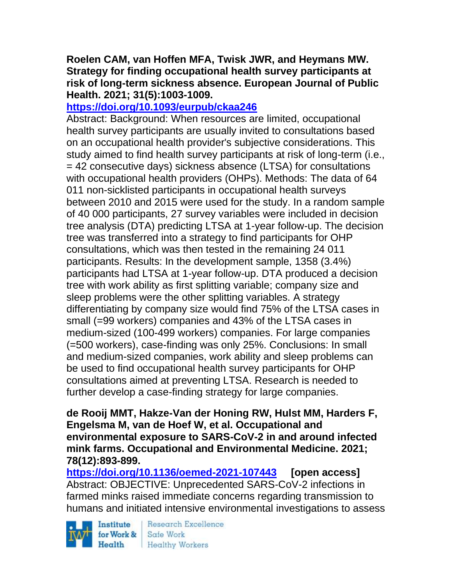## **Roelen CAM, van Hoffen MFA, Twisk JWR, and Heymans MW. Strategy for finding occupational health survey participants at risk of long-term sickness absence. European Journal of Public Health. 2021; 31(5):1003-1009.**

# **<https://doi.org/10.1093/eurpub/ckaa246>**

Abstract: Background: When resources are limited, occupational health survey participants are usually invited to consultations based on an occupational health provider's subjective considerations. This study aimed to find health survey participants at risk of long-term (i.e., = 42 consecutive days) sickness absence (LTSA) for consultations with occupational health providers (OHPs). Methods: The data of 64 011 non-sicklisted participants in occupational health surveys between 2010 and 2015 were used for the study. In a random sample of 40 000 participants, 27 survey variables were included in decision tree analysis (DTA) predicting LTSA at 1-year follow-up. The decision tree was transferred into a strategy to find participants for OHP consultations, which was then tested in the remaining 24 011 participants. Results: In the development sample, 1358 (3.4%) participants had LTSA at 1-year follow-up. DTA produced a decision tree with work ability as first splitting variable; company size and sleep problems were the other splitting variables. A strategy differentiating by company size would find 75% of the LTSA cases in small (=99 workers) companies and 43% of the LTSA cases in medium-sized (100-499 workers) companies. For large companies (=500 workers), case-finding was only 25%. Conclusions: In small and medium-sized companies, work ability and sleep problems can be used to find occupational health survey participants for OHP consultations aimed at preventing LTSA. Research is needed to further develop a case-finding strategy for large companies.

**de Rooij MMT, Hakze-Van der Honing RW, Hulst MM, Harders F, Engelsma M, van de Hoef W, et al. Occupational and environmental exposure to SARS-CoV-2 in and around infected mink farms. Occupational and Environmental Medicine. 2021; 78(12):893-899.** 

**<https://doi.org/10.1136/oemed-2021-107443> [open access]** Abstract: OBJECTIVE: Unprecedented SARS-CoV-2 infections in farmed minks raised immediate concerns regarding transmission to humans and initiated intensive environmental investigations to assess

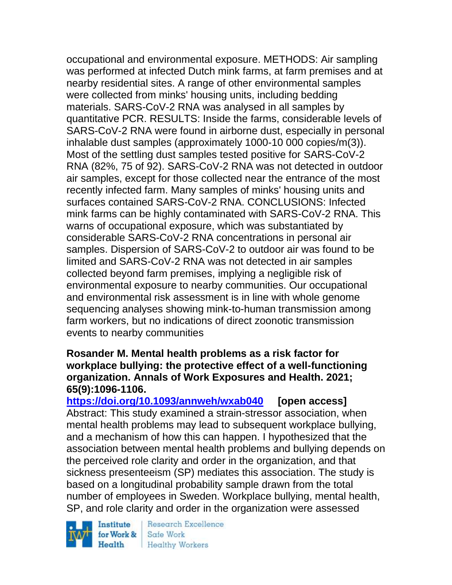occupational and environmental exposure. METHODS: Air sampling was performed at infected Dutch mink farms, at farm premises and at nearby residential sites. A range of other environmental samples were collected from minks' housing units, including bedding materials. SARS-CoV-2 RNA was analysed in all samples by quantitative PCR. RESULTS: Inside the farms, considerable levels of SARS-CoV-2 RNA were found in airborne dust, especially in personal inhalable dust samples (approximately 1000-10 000 copies/m(3)). Most of the settling dust samples tested positive for SARS-CoV-2 RNA (82%, 75 of 92). SARS-CoV-2 RNA was not detected in outdoor air samples, except for those collected near the entrance of the most recently infected farm. Many samples of minks' housing units and surfaces contained SARS-CoV-2 RNA. CONCLUSIONS: Infected mink farms can be highly contaminated with SARS-CoV-2 RNA. This warns of occupational exposure, which was substantiated by considerable SARS-CoV-2 RNA concentrations in personal air samples. Dispersion of SARS-CoV-2 to outdoor air was found to be limited and SARS-CoV-2 RNA was not detected in air samples collected beyond farm premises, implying a negligible risk of environmental exposure to nearby communities. Our occupational and environmental risk assessment is in line with whole genome sequencing analyses showing mink-to-human transmission among farm workers, but no indications of direct zoonotic transmission events to nearby communities

### **Rosander M. Mental health problems as a risk factor for workplace bullying: the protective effect of a well-functioning organization. Annals of Work Exposures and Health. 2021; 65(9):1096-1106.**

**<https://doi.org/10.1093/annweh/wxab040> [open access]** Abstract: This study examined a strain-stressor association, when mental health problems may lead to subsequent workplace bullying, and a mechanism of how this can happen. I hypothesized that the association between mental health problems and bullying depends on the perceived role clarity and order in the organization, and that sickness presenteeism (SP) mediates this association. The study is based on a longitudinal probability sample drawn from the total number of employees in Sweden. Workplace bullying, mental health, SP, and role clarity and order in the organization were assessed

Institute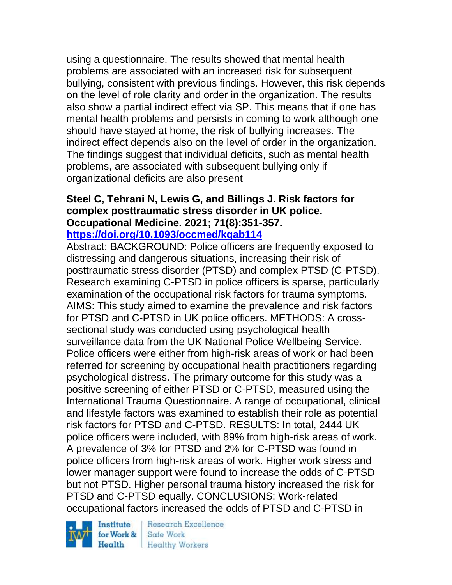using a questionnaire. The results showed that mental health problems are associated with an increased risk for subsequent bullying, consistent with previous findings. However, this risk depends on the level of role clarity and order in the organization. The results also show a partial indirect effect via SP. This means that if one has mental health problems and persists in coming to work although one should have stayed at home, the risk of bullying increases. The indirect effect depends also on the level of order in the organization. The findings suggest that individual deficits, such as mental health problems, are associated with subsequent bullying only if organizational deficits are also present

# **Steel C, Tehrani N, Lewis G, and Billings J. Risk factors for complex posttraumatic stress disorder in UK police. Occupational Medicine. 2021; 71(8):351-357.**

### **<https://doi.org/10.1093/occmed/kqab114>**

Abstract: BACKGROUND: Police officers are frequently exposed to distressing and dangerous situations, increasing their risk of posttraumatic stress disorder (PTSD) and complex PTSD (C-PTSD). Research examining C-PTSD in police officers is sparse, particularly examination of the occupational risk factors for trauma symptoms. AIMS: This study aimed to examine the prevalence and risk factors for PTSD and C-PTSD in UK police officers. METHODS: A crosssectional study was conducted using psychological health surveillance data from the UK National Police Wellbeing Service. Police officers were either from high-risk areas of work or had been referred for screening by occupational health practitioners regarding psychological distress. The primary outcome for this study was a positive screening of either PTSD or C-PTSD, measured using the International Trauma Questionnaire. A range of occupational, clinical and lifestyle factors was examined to establish their role as potential risk factors for PTSD and C-PTSD. RESULTS: In total, 2444 UK police officers were included, with 89% from high-risk areas of work. A prevalence of 3% for PTSD and 2% for C-PTSD was found in police officers from high-risk areas of work. Higher work stress and lower manager support were found to increase the odds of C-PTSD but not PTSD. Higher personal trauma history increased the risk for PTSD and C-PTSD equally. CONCLUSIONS: Work-related occupational factors increased the odds of PTSD and C-PTSD in

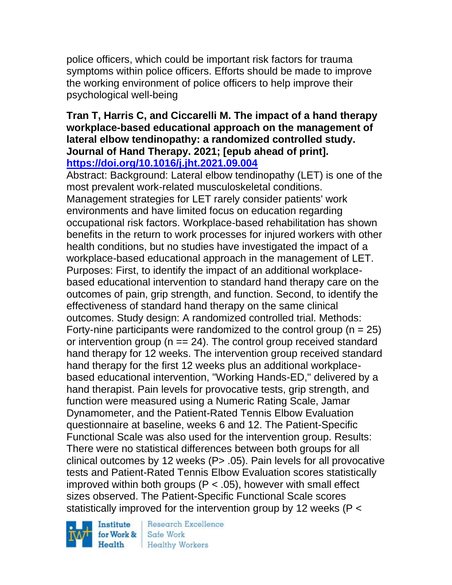police officers, which could be important risk factors for trauma symptoms within police officers. Efforts should be made to improve the working environment of police officers to help improve their psychological well-being

### **Tran T, Harris C, and Ciccarelli M. The impact of a hand therapy workplace-based educational approach on the management of lateral elbow tendinopathy: a randomized controlled study. Journal of Hand Therapy. 2021; [epub ahead of print]. <https://doi.org/10.1016/j.jht.2021.09.004>**

Abstract: Background: Lateral elbow tendinopathy (LET) is one of the most prevalent work-related musculoskeletal conditions. Management strategies for LET rarely consider patients' work environments and have limited focus on education regarding occupational risk factors. Workplace-based rehabilitation has shown benefits in the return to work processes for injured workers with other health conditions, but no studies have investigated the impact of a workplace-based educational approach in the management of LET. Purposes: First, to identify the impact of an additional workplacebased educational intervention to standard hand therapy care on the outcomes of pain, grip strength, and function. Second, to identify the effectiveness of standard hand therapy on the same clinical outcomes. Study design: A randomized controlled trial. Methods: Forty-nine participants were randomized to the control group ( $n = 25$ ) or intervention group ( $n == 24$ ). The control group received standard hand therapy for 12 weeks. The intervention group received standard hand therapy for the first 12 weeks plus an additional workplacebased educational intervention, "Working Hands-ED," delivered by a hand therapist. Pain levels for provocative tests, grip strength, and function were measured using a Numeric Rating Scale, Jamar Dynamometer, and the Patient-Rated Tennis Elbow Evaluation questionnaire at baseline, weeks 6 and 12. The Patient-Specific Functional Scale was also used for the intervention group. Results: There were no statistical differences between both groups for all clinical outcomes by 12 weeks ( $P$   $>$  .05). Pain levels for all provocative tests and Patient-Rated Tennis Elbow Evaluation scores statistically improved within both groups  $(P < .05)$ , however with small effect sizes observed. The Patient-Specific Functional Scale scores statistically improved for the intervention group by 12 weeks (P <

Institute